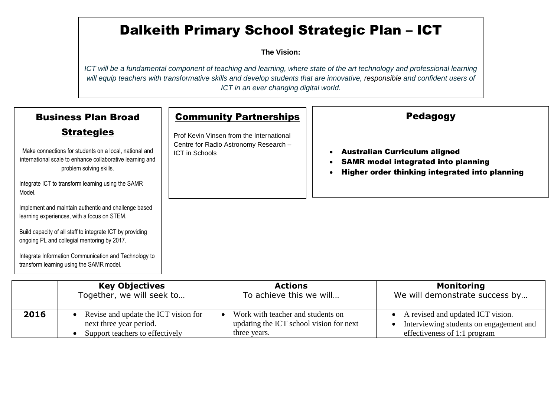## Dalkeith Primary School Strategic Plan – ICT

**The Vision:** 

*ICT will be a fundamental component of teaching and learning, where state of the art technology and professional learning will equip teachers with transformative skills and develop students that are innovative, responsible and confident users of ICT in an ever changing digital world.*

|                                                                                                          | <b>Business Plan Broad</b>                                                                                                                     | <b>Community Partnerships</b>                           | <b>Pedagogy</b>                                                                                                                      |
|----------------------------------------------------------------------------------------------------------|------------------------------------------------------------------------------------------------------------------------------------------------|---------------------------------------------------------|--------------------------------------------------------------------------------------------------------------------------------------|
|                                                                                                          | <b>Strategies</b>                                                                                                                              | Prof Kevin Vinsen from the International                |                                                                                                                                      |
|                                                                                                          | Make connections for students on a local, national and<br>international scale to enhance collaborative learning and<br>problem solving skills. | Centre for Radio Astronomy Research -<br>ICT in Schools | <b>Australian Curriculum aligned</b><br><b>SAMR model integrated into planning</b><br>Higher order thinking integrated into planning |
| Integrate ICT to transform learning using the SAMR<br>Model.                                             |                                                                                                                                                |                                                         |                                                                                                                                      |
| Implement and maintain authentic and challenge based<br>learning experiences, with a focus on STEM.      |                                                                                                                                                |                                                         |                                                                                                                                      |
| Build capacity of all staff to integrate ICT by providing<br>ongoing PL and collegial mentoring by 2017. |                                                                                                                                                |                                                         |                                                                                                                                      |
|                                                                                                          | Integrate Information Communication and Technology to<br>transform learning using the SAMR model.                                              |                                                         |                                                                                                                                      |
|                                                                                                          | <b>Key Objectives</b>                                                                                                                          | <b>Actions</b>                                          | <b>Monitoring</b>                                                                                                                    |
|                                                                                                          | Together we will seek to                                                                                                                       | To achieve this we will                                 | We will demonstrate success by                                                                                                       |

|      | Together, we will seek to            | To achieve this we will                 | We will demonstrate success by          |
|------|--------------------------------------|-----------------------------------------|-----------------------------------------|
| 2016 | Revise and update the ICT vision for | Work with teacher and students on       | A revised and updated ICT vision.       |
|      | next three year period.              | updating the ICT school vision for next | Interviewing students on engagement and |
|      | Support teachers to effectively      | three years.                            | effectiveness of 1:1 program            |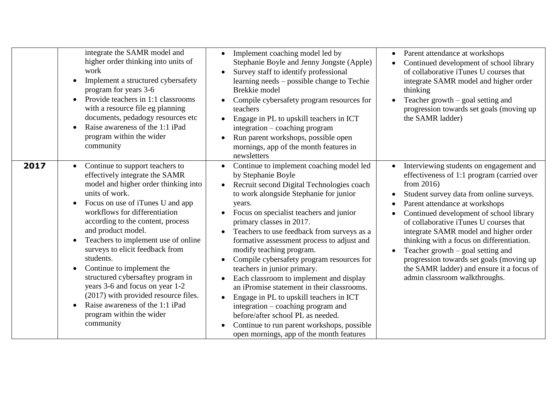|      | integrate the SAMR model and<br>higher order thinking into units of<br>work<br>Implement a structured cybersafety<br>program for years 3-6<br>Provide teachers in 1:1 classrooms<br>with a resource file eg planning<br>documents, pedadogy resources etc<br>Raise awareness of the 1:1 iPad<br>program within the wider<br>community                                                                                                                                                                                                                                                                 | Implement coaching model led by<br>$\bullet$<br>Stephanie Boyle and Jenny Jongste (Apple)<br>Survey staff to identify professional<br>$\bullet$<br>learning needs – possible change to Techie<br>Brekkie model<br>Compile cybersafety program resources for<br>teachers<br>Engage in PL to upskill teachers in ICT<br>$\bullet$<br>integration - coaching program<br>Run parent workshops, possible open<br>mornings, app of the month features in<br>newsletters                                                                                                                                                                                                                                                                                                                                                    | Parent attendance at workshops<br>$\bullet$<br>Continued development of school library<br>of collaborative iTunes U courses that<br>integrate SAMR model and higher order<br>thinking<br>Teacher growth $-$ goal setting and<br>progression towards set goals (moving up<br>the SAMR ladder)                                                                                                                                                                                                                                                               |
|------|-------------------------------------------------------------------------------------------------------------------------------------------------------------------------------------------------------------------------------------------------------------------------------------------------------------------------------------------------------------------------------------------------------------------------------------------------------------------------------------------------------------------------------------------------------------------------------------------------------|----------------------------------------------------------------------------------------------------------------------------------------------------------------------------------------------------------------------------------------------------------------------------------------------------------------------------------------------------------------------------------------------------------------------------------------------------------------------------------------------------------------------------------------------------------------------------------------------------------------------------------------------------------------------------------------------------------------------------------------------------------------------------------------------------------------------|------------------------------------------------------------------------------------------------------------------------------------------------------------------------------------------------------------------------------------------------------------------------------------------------------------------------------------------------------------------------------------------------------------------------------------------------------------------------------------------------------------------------------------------------------------|
| 2017 | Continue to support teachers to<br>effectively integrate the SAMR<br>model and higher order thinking into<br>units of work.<br>Focus on use of iTunes U and app<br>workflows for differentiation<br>according to the content, process<br>and product model.<br>Teachers to implement use of online<br>$\bullet$<br>surveys to elicit feedback from<br>students.<br>Continue to implement the<br>$\bullet$<br>structured cybersaftey program in<br>years 3-6 and focus on year 1-2<br>(2017) with provided resource files.<br>Raise awareness of the 1:1 iPad<br>program within the wider<br>community | Continue to implement coaching model led<br>by Stephanie Boyle<br>Recruit second Digital Technologies coach<br>$\bullet$<br>to work alongside Stephanie for junior<br>years.<br>Focus on specialist teachers and junior<br>$\bullet$<br>primary classes in 2017.<br>Teachers to use feedback from surveys as a<br>$\bullet$<br>formative assessment process to adjust and<br>modify teaching program.<br>Compile cybersafety program resources for<br>$\bullet$<br>teachers in junior primary.<br>Each classroom to implement and display<br>$\bullet$<br>an iPromise statement in their classrooms.<br>Engage in PL to upskill teachers in ICT<br>integration – coaching program and<br>before/after school PL as needed.<br>Continue to run parent workshops, possible<br>open mornings, app of the month features | Interviewing students on engagement and<br>$\bullet$<br>effectiveness of 1:1 program (carried over<br>from $2016$ )<br>Student survey data from online surveys.<br>Parent attendance at workshops<br>$\bullet$<br>Continued development of school library<br>of collaborative iTunes U courses that<br>integrate SAMR model and higher order<br>thinking with a focus on differentiation.<br>Teacher growth $-$ goal setting and<br>progression towards set goals (moving up<br>the SAMR ladder) and ensure it a focus of<br>admin classroom walkthroughs. |